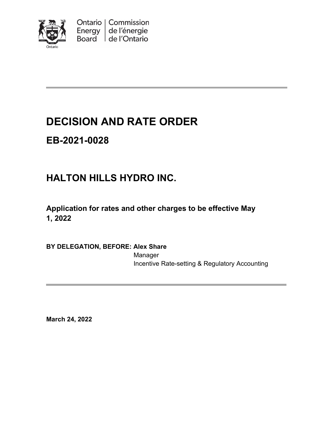

Ontario | Commission Energy de l'énergie Board de l'Ontario

# **DECISION AND RATE ORDER**

# **EB-2021-0028**

# **HALTON HILLS HYDRO INC.**

**Application for rates and other charges to be effective May 1, 2022**

**BY DELEGATION, BEFORE: Alex Share**

Manager Incentive Rate-setting & Regulatory Accounting

**March 24, 2022**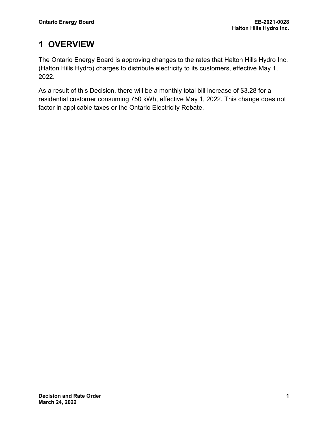## **1 OVERVIEW**

The Ontario Energy Board is approving changes to the rates that Halton Hills Hydro Inc. (Halton Hills Hydro) charges to distribute electricity to its customers, effective May 1, 2022.

As a result of this Decision, there will be a monthly total bill increase of \$3.28 for a residential customer consuming 750 kWh, effective May 1, 2022. This change does not factor in applicable taxes or the Ontario Electricity Rebate.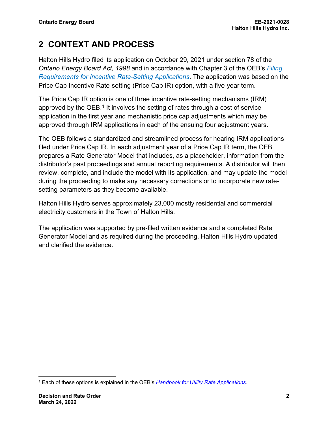## **2 CONTEXT AND PROCESS**

Halton Hills Hydro filed its application on October 29, 2021 under section 78 of the *Ontario Energy Board Act, 1998* and in accordance with Chapter 3 of the OEB's *[Filing](https://www.oeb.ca/sites/default/files/Chapter-3-Filing-Requirements-20200514.pdf)  [Requirements for Incentive Rate-Setting Applications](https://www.oeb.ca/sites/default/files/Chapter-3-Filing-Requirements-20200514.pdf)*. The application was based on the Price Cap Incentive Rate-setting (Price Cap IR) option, with a five-year term.

The Price Cap IR option is one of three incentive rate-setting mechanisms (IRM) approved by the OEB.<sup>[1](#page-2-0)</sup> It involves the setting of rates through a cost of service application in the first year and mechanistic price cap adjustments which may be approved through IRM applications in each of the ensuing four adjustment years.

The OEB follows a standardized and streamlined process for hearing IRM applications filed under Price Cap IR. In each adjustment year of a Price Cap IR term, the OEB prepares a Rate Generator Model that includes, as a placeholder, information from the distributor's past proceedings and annual reporting requirements. A distributor will then review, complete, and include the model with its application, and may update the model during the proceeding to make any necessary corrections or to incorporate new ratesetting parameters as they become available.

Halton Hills Hydro serves approximately 23,000 mostly residential and commercial electricity customers in the Town of Halton Hills.

The application was supported by pre-filed written evidence and a completed Rate Generator Model and as required during the proceeding, Halton Hills Hydro updated and clarified the evidence.

<span id="page-2-0"></span><sup>1</sup> Each of these options is explained in the OEB's *[Handbook for Utility Rate Applications](https://www.oeb.ca/industry/rules-codes-and-requirements/handbook-utility-rate-applications)*.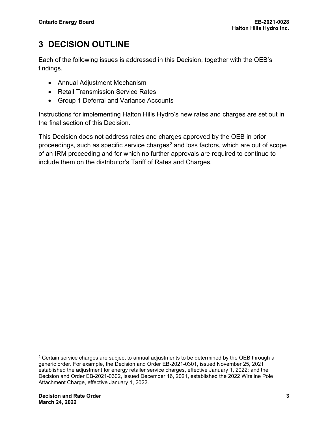## **3 DECISION OUTLINE**

Each of the following issues is addressed in this Decision, together with the OEB's findings.

- Annual Adjustment Mechanism
- Retail Transmission Service Rates
- Group 1 Deferral and Variance Accounts

Instructions for implementing Halton Hills Hydro's new rates and charges are set out in the final section of this Decision.

This Decision does not address rates and charges approved by the OEB in prior proceedings, such as specific service charges<sup>[2](#page-3-0)</sup> and loss factors, which are out of scope of an IRM proceeding and for which no further approvals are required to continue to include them on the distributor's Tariff of Rates and Charges.

<span id="page-3-0"></span> $2$  Certain service charges are subject to annual adjustments to be determined by the OEB through a generic order. For example, the Decision and Order EB-2021-0301, issued November 25, 2021 established the adjustment for energy retailer service charges, effective January 1, 2022; and the Decision and Order EB-2021-0302, issued December 16, 2021, established the 2022 Wireline Pole Attachment Charge, effective January 1, 2022.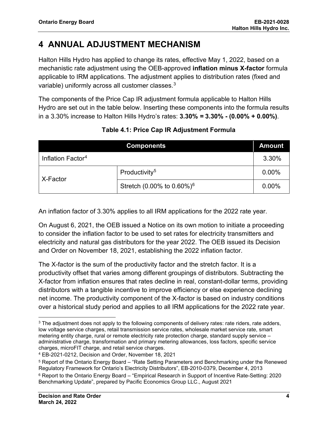## **4 ANNUAL ADJUSTMENT MECHANISM**

Halton Hills Hydro has applied to change its rates, effective May 1, 2022, based on a mechanistic rate adjustment using the OEB-approved **inflation minus X-factor** formula applicable to IRM applications. The adjustment applies to distribution rates (fixed and variable) uniformly across all customer classes.<sup>[3](#page-4-0)</sup>

The components of the Price Cap IR adjustment formula applicable to Halton Hills Hydro are set out in the table below. Inserting these components into the formula results in a 3.30% increase to Halton Hills Hydro's rates: **3.30%** *=* **3.30% - (0.00% + 0.00%)**.

|                               | <b>Components</b>                         | <b>Amount</b> |
|-------------------------------|-------------------------------------------|---------------|
| Inflation Factor <sup>4</sup> |                                           | 3.30%         |
| X-Factor                      | Productivity <sup>5</sup>                 | 0.00%         |
|                               | Stretch (0.00% to $0.60\%$ ) <sup>6</sup> | 0.00%         |

### **Table 4.1: Price Cap IR Adjustment Formula**

An inflation factor of 3.30% applies to all IRM applications for the 2022 rate year.

On August 6, 2021, the OEB issued a Notice on its own motion to initiate a proceeding to consider the inflation factor to be used to set rates for electricity transmitters and electricity and natural gas distributors for the year 2022. The OEB issued its Decision and Order on November 18, 2021, establishing the 2022 inflation factor.

The X-factor is the sum of the productivity factor and the stretch factor. It is a productivity offset that varies among different groupings of distributors. Subtracting the X-factor from inflation ensures that rates decline in real, constant-dollar terms, providing distributors with a tangible incentive to improve efficiency or else experience declining net income. The productivity component of the X-factor is based on industry conditions over a historical study period and applies to all IRM applications for the 2022 rate year.

<span id="page-4-0"></span><sup>&</sup>lt;sup>3</sup> The adjustment does not apply to the following components of delivery rates: rate riders, rate adders, low voltage service charges, retail transmission service rates, wholesale market service rate, smart metering entity charge, rural or remote electricity rate protection charge, standard supply service – administrative charge, transformation and primary metering allowances, loss factors, specific service charges, microFIT charge, and retail service charges.

<span id="page-4-1"></span><sup>4</sup> EB-2021-0212, Decision and Order, November 18, 2021

<span id="page-4-2"></span><sup>5</sup> Report of the Ontario Energy Board – "Rate Setting Parameters and Benchmarking under the Renewed Regulatory Framework for Ontario's Electricity Distributors", EB-2010-0379, December 4, 2013

<span id="page-4-3"></span><sup>6</sup> Report to the Ontario Energy Board – "Empirical Research in Support of Incentive Rate-Setting: 2020 Benchmarking Update", prepared by Pacific Economics Group LLC., August 2021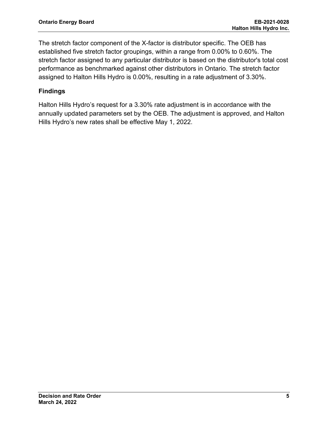The stretch factor component of the X-factor is distributor specific. The OEB has established five stretch factor groupings, within a range from 0.00% to 0.60%. The stretch factor assigned to any particular distributor is based on the distributor's total cost performance as benchmarked against other distributors in Ontario. The stretch factor assigned to Halton Hills Hydro is 0.00%, resulting in a rate adjustment of 3.30%.

### **Findings**

Halton Hills Hydro's request for a 3.30% rate adjustment is in accordance with the annually updated parameters set by the OEB. The adjustment is approved, and Halton Hills Hydro's new rates shall be effective May 1, 2022.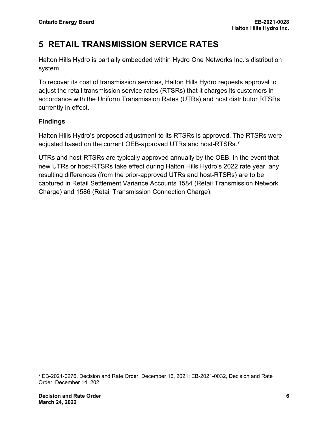## **5 RETAIL TRANSMISSION SERVICE RATES**

Halton Hills Hydro is partially embedded within Hydro One Networks Inc.'s distribution system.

To recover its cost of transmission services, Halton Hills Hydro requests approval to adjust the retail transmission service rates (RTSRs) that it charges its customers in accordance with the Uniform Transmission Rates (UTRs) and host distributor RTSRs currently in effect.

### **Findings**

Halton Hills Hydro's proposed adjustment to its RTSRs is approved. The RTSRs were adjusted based on the current OEB-approved UTRs and host-RTSRs. $^7$  $^7$ 

UTRs and host-RTSRs are typically approved annually by the OEB. In the event that new UTRs or host-RTSRs take effect during Halton Hills Hydro's 2022 rate year, any resulting differences (from the prior-approved UTRs and host-RTSRs) are to be captured in Retail Settlement Variance Accounts 1584 (Retail Transmission Network Charge) and 1586 (Retail Transmission Connection Charge).

<span id="page-6-0"></span><sup>7</sup> EB-2021-0276, Decision and Rate Order, December 16, 2021; EB-2021-0032, Decision and Rate Order, December 14, 2021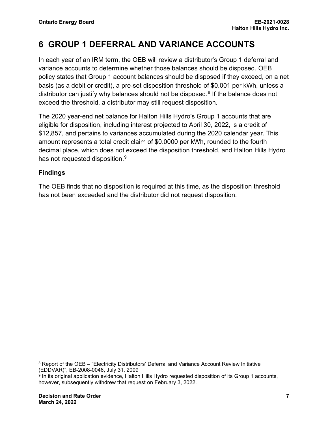## **6 GROUP 1 DEFERRAL AND VARIANCE ACCOUNTS**

In each year of an IRM term, the OEB will review a distributor's Group 1 deferral and variance accounts to determine whether those balances should be disposed. OEB policy states that Group 1 account balances should be disposed if they exceed, on a net basis (as a debit or credit), a pre-set disposition threshold of \$0.001 per kWh, unless a distributor can justify why balances should not be disposed.<sup>[8](#page-7-0)</sup> If the balance does not exceed the threshold, a distributor may still request disposition.

The 2020 year-end net balance for Halton Hills Hydro's Group 1 accounts that are eligible for disposition, including interest projected to April 30, 2022, is a credit of \$12,857, and pertains to variances accumulated during the 2020 calendar year. This amount represents a total credit claim of \$0.0000 per kWh, rounded to the fourth decimal place, which does not exceed the disposition threshold, and Halton Hills Hydro has not requested disposition.<sup>[9](#page-7-1)</sup>

### **Findings**

The OEB finds that no disposition is required at this time, as the disposition threshold has not been exceeded and the distributor did not request disposition.

<span id="page-7-0"></span><sup>&</sup>lt;sup>8</sup> Report of the OEB – "Electricity Distributors' Deferral and Variance Account Review Initiative (EDDVAR)", EB-2008-0046, July 31, 2009

<span id="page-7-1"></span><sup>9</sup> In its original application evidence, Halton Hills Hydro requested disposition of its Group 1 accounts, however, subsequently withdrew that request on February 3, 2022.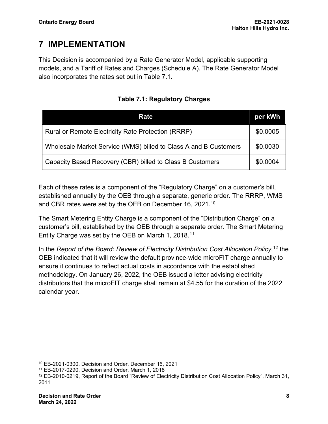## **7 IMPLEMENTATION**

This Decision is accompanied by a Rate Generator Model, applicable supporting models, and a Tariff of Rates and Charges (Schedule A). The Rate Generator Model also incorporates the rates set out in Table 7.1.

| Rate                                                             | per kWh  |
|------------------------------------------------------------------|----------|
| Rural or Remote Electricity Rate Protection (RRRP)               | \$0.0005 |
| Wholesale Market Service (WMS) billed to Class A and B Customers | \$0.0030 |
| Capacity Based Recovery (CBR) billed to Class B Customers        | \$0.0004 |

**Table 7.1: Regulatory Charges**

Each of these rates is a component of the "Regulatory Charge" on a customer's bill, established annually by the OEB through a separate, generic order. The RRRP, WMS and CBR rates were set by the OEB on December 16, 2021.[10](#page-8-0)

The Smart Metering Entity Charge is a component of the "Distribution Charge" on a customer's bill, established by the OEB through a separate order. The Smart Metering Entity Charge was set by the OEB on March 1, 2018.[11](#page-8-1)

In the *Report of the Board: Review of Electricity Distribution Cost Allocation Policy*, [12](#page-8-2) the OEB indicated that it will review the default province-wide microFIT charge annually to ensure it continues to reflect actual costs in accordance with the established methodology. On January 26, 2022, the OEB issued a letter advising electricity distributors that the microFIT charge shall remain at \$4.55 for the duration of the 2022 calendar year.

<span id="page-8-0"></span><sup>10</sup> EB-2021-0300, Decision and Order, December 16, 2021

<span id="page-8-1"></span><sup>11</sup> EB-2017-0290, Decision and Order, March 1, 2018

<span id="page-8-2"></span><sup>12</sup> EB-2010-0219, Report of the Board "Review of Electricity Distribution Cost Allocation Policy", March 31, 2011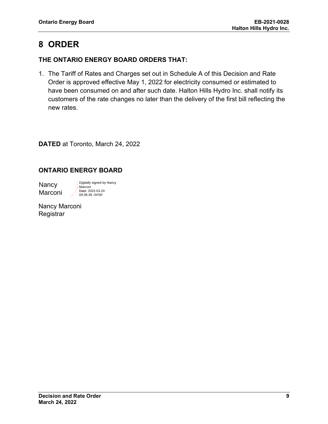## **8 ORDER**

### **THE ONTARIO ENERGY BOARD ORDERS THAT:**

1. The Tariff of Rates and Charges set out in Schedule A of this Decision and Rate Order is approved effective May 1, 2022 for electricity consumed or estimated to have been consumed on and after such date. Halton Hills Hydro Inc. shall notify its customers of the rate changes no later than the delivery of the first bill reflecting the new rates.

**DATED** at Toronto, March 24, 2022

### **ONTARIO ENERGY BOARD**

**Nancy** Marconi

Digitally signed by Nancy Marconi Date: 2022.03.24 09:36:39 -04'00'

Nancy Marconi **Registrar**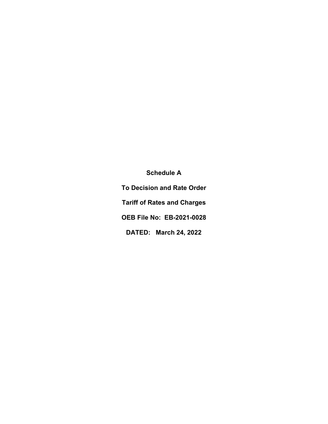**Schedule A To Decision and Rate Order Tariff of Rates and Charges OEB File No: EB-2021-0028 DATED: March 24, 2022**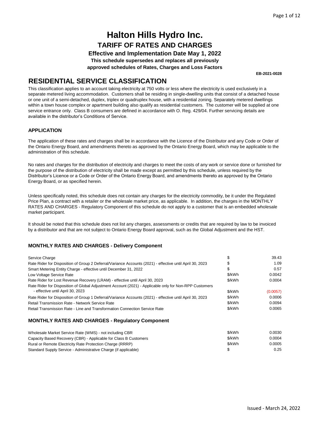**Effective and Implementation Date May 1, 2022**

**This schedule supersedes and replaces all previously**

**approved schedules of Rates, Charges and Loss Factors**

**EB-2021-0028**

### **RESIDENTIAL SERVICE CLASSIFICATION**

This classification applies to an account taking electricity at 750 volts or less where the electricity is used exclusively in a separate metered living accommodation. Customers shall be residing in single-dwelling units that consist of a detached house or one unit of a semi-detached, duplex, triplex or quadruplex house, with a residential zoning. Separately metered dwellings within a town house complex or apartment building also qualify as residential customers. The customer will be supplied at one service entrance only. Class B consumers are defined in accordance with O. Reg. 429/04. Further servicing details are available in the distributor's Conditions of Service.

#### **APPLICATION**

The application of these rates and charges shall be in accordance with the Licence of the Distributor and any Code or Order of the Ontario Energy Board, and amendments thereto as approved by the Ontario Energy Board, which may be applicable to the administration of this schedule.

No rates and charges for the distribution of electricity and charges to meet the costs of any work or service done or furnished for the purpose of the distribution of electricity shall be made except as permitted by this schedule, unless required by the Distributor's Licence or a Code or Order of the Ontario Energy Board, and amendments thereto as approved by the Ontario Energy Board, or as specified herein.

Unless specifically noted, this schedule does not contain any charges for the electricity commodity, be it under the Regulated Price Plan, a contract with a retailer or the wholesale market price, as applicable. In addition, the charges in the MONTHLY RATES AND CHARGES - Regulatory Component of this schedule do not apply to a customer that is an embedded wholesale market participant.

It should be noted that this schedule does not list any charges, assessments or credits that are required by law to be invoiced by a distributor and that are not subject to Ontario Energy Board approval, such as the Global Adjustment and the HST.

#### **MONTHLY RATES AND CHARGES - Delivery Component**

| Service Charge                                                                                                                             |        | 39.43    |
|--------------------------------------------------------------------------------------------------------------------------------------------|--------|----------|
| Rate Rider for Disposition of Group 2 Deferral/Variance Accounts (2021) - effective until April 30, 2023                                   | S      | 1.09     |
| Smart Metering Entity Charge - effective until December 31, 2022                                                                           | \$     | 0.57     |
| Low Voltage Service Rate                                                                                                                   | \$/kWh | 0.0042   |
| Rate Rider for Lost Revenue Recovery (LRAM) - effective until April 30, 2023                                                               | \$/kWh | 0.0004   |
| Rate Rider for Disposition of Global Adjustment Account (2021) - Applicable only for Non-RPP Customers<br>- effective until April 30, 2023 | \$/kWh | (0.0057) |
| Rate Rider for Disposition of Group 1 Deferral/Variance Accounts (2021) - effective until April 30, 2023                                   | \$/kWh | 0.0006   |
| Retail Transmission Rate - Network Service Rate                                                                                            | \$/kWh | 0.0094   |
| Retail Transmission Rate - Line and Transformation Connection Service Rate                                                                 | \$/kWh | 0.0065   |
|                                                                                                                                            |        |          |

| Wholesale Market Service Rate (WMS) - not including CBR          | \$/kWh | 0.0030 |
|------------------------------------------------------------------|--------|--------|
| Capacity Based Recovery (CBR) - Applicable for Class B Customers | \$/kWh | 0.0004 |
| Rural or Remote Electricity Rate Protection Charge (RRRP)        | \$/kWh | 0.0005 |
| Standard Supply Service - Administrative Charge (if applicable)  |        | 0.25   |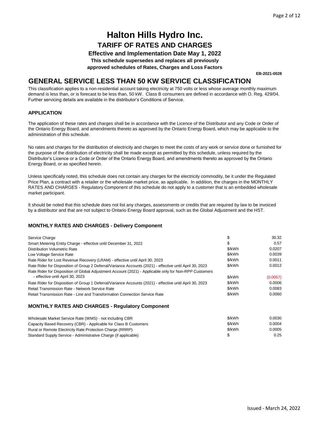#### **Effective and Implementation Date May 1, 2022**

**This schedule supersedes and replaces all previously**

**approved schedules of Rates, Charges and Loss Factors**

**EB-2021-0028**

### **GENERAL SERVICE LESS THAN 50 KW SERVICE CLASSIFICATION**

This classification applies to a non-residential account taking electricity at 750 volts or less whose average monthly maximum demand is less than, or is forecast to be less than, 50 kW. Class B consumers are defined in accordance with O. Reg. 429/04. Further servicing details are available in the distributor's Conditions of Service.

#### **APPLICATION**

The application of these rates and charges shall be in accordance with the Licence of the Distributor and any Code or Order of the Ontario Energy Board, and amendments thereto as approved by the Ontario Energy Board, which may be applicable to the administration of this schedule.

No rates and charges for the distribution of electricity and charges to meet the costs of any work or service done or furnished for the purpose of the distribution of electricity shall be made except as permitted by this schedule, unless required by the Distributor's Licence or a Code or Order of the Ontario Energy Board, and amendments thereto as approved by the Ontario Energy Board, or as specified herein.

Unless specifically noted, this schedule does not contain any charges for the electricity commodity, be it under the Regulated Price Plan, a contract with a retailer or the wholesale market price, as applicable. In addition, the charges in the MONTHLY RATES AND CHARGES - Regulatory Component of this schedule do not apply to a customer that is an embedded wholesale market participant.

It should be noted that this schedule does not list any charges, assessments or credits that are required by law to be invoiced by a distributor and that are not subject to Ontario Energy Board approval, such as the Global Adjustment and the HST.

#### **MONTHLY RATES AND CHARGES - Delivery Component**

| Service Charge                                                                                           | S      | 30.32    |
|----------------------------------------------------------------------------------------------------------|--------|----------|
| Smart Metering Entity Charge - effective until December 31, 2022                                         | S      | 0.57     |
| Distribution Volumetric Rate                                                                             | \$/kWh | 0.0207   |
| Low Voltage Service Rate                                                                                 | \$/kWh | 0.0039   |
| Rate Rider for Lost Revenue Recovery (LRAM) - effective until April 30, 2023                             | \$/kWh | 0.0011   |
| Rate Rider for Disposition of Group 2 Deferral/Variance Accounts (2021) - effective until April 30, 2023 | \$/kWh | 0.0012   |
| Rate Rider for Disposition of Global Adjustment Account (2021) - Applicable only for Non-RPP Customers   |        |          |
| - effective until April 30, 2023                                                                         | \$/kWh | (0.0057) |
| Rate Rider for Disposition of Group 1 Deferral/Variance Accounts (2021) - effective until April 30, 2023 | \$/kWh | 0.0006   |
| Retail Transmission Rate - Network Service Rate                                                          | \$/kWh | 0.0083   |
| Retail Transmission Rate - Line and Transformation Connection Service Rate                               | \$/kWh | 0.0060   |

| Wholesale Market Service Rate (WMS) - not including CBR          | \$/kWh | 0.0030 |
|------------------------------------------------------------------|--------|--------|
| Capacity Based Recovery (CBR) - Applicable for Class B Customers | \$/kWh | 0.0004 |
| Rural or Remote Electricity Rate Protection Charge (RRRP)        | \$/kWh | 0.0005 |
| Standard Supply Service - Administrative Charge (if applicable)  |        | 0.25   |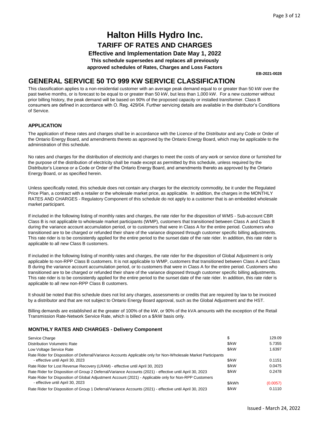**Effective and Implementation Date May 1, 2022**

**This schedule supersedes and replaces all previously**

**approved schedules of Rates, Charges and Loss Factors**

**EB-2021-0028**

### **GENERAL SERVICE 50 TO 999 KW SERVICE CLASSIFICATION**

This classification applies to a non-residential customer with an average peak demand equal to or greater than 50 kW over the past twelve months, or is forecast to be equal to or greater than 50 kW, but less than 1,000 kW. For a new customer without prior billing history, the peak demand will be based on 90% of the proposed capacity or installed transformer. Class B consumers are defined in accordance with O. Reg. 429/04. Further servicing details are available in the distributor's Conditions of Service.

#### **APPLICATION**

The application of these rates and charges shall be in accordance with the Licence of the Distributor and any Code or Order of the Ontario Energy Board, and amendments thereto as approved by the Ontario Energy Board, which may be applicable to the administration of this schedule.

No rates and charges for the distribution of electricity and charges to meet the costs of any work or service done or furnished for the purpose of the distribution of electricity shall be made except as permitted by this schedule, unless required by the Distributor's Licence or a Code or Order of the Ontario Energy Board, and amendments thereto as approved by the Ontario Energy Board, or as specified herein.

Unless specifically noted, this schedule does not contain any charges for the electricity commodity, be it under the Regulated Price Plan, a contract with a retailer or the wholesale market price, as applicable. In addition, the charges in the MONTHLY RATES AND CHARGES - Regulatory Component of this schedule do not apply to a customer that is an embedded wholesale market participant.

If included in the following listing of monthly rates and charges, the rate rider for the disposition of WMS - Sub-account CBR Class B is not applicable to wholesale market participants (WMP), customers that transitioned between Class A and Class B during the variance account accumulation period, or to customers that were in Class A for the entire period. Customers who transitioned are to be charged or refunded their share of the variance disposed through customer specific billing adjustments. This rate rider is to be consistently applied for the entire period to the sunset date of the rate rider. In addition, this rate rider is applicable to all new Class B customers.

If included in the following listing of monthly rates and charges, the rate rider for the disposition of Global Adjustment is only applicable to non-RPP Class B customers. It is not applicable to WMP, customers that transitioned between Class A and Class B during the variance account accumulation period, or to customers that were in Class A for the entire period. Customers who transitioned are to be charged or refunded their share of the variance disposed through customer specific billing adjustments. This rate rider is to be consistently applied for the entire period to the sunset date of the rate rider. In addition, this rate rider is applicable to all new non-RPP Class B customers.

It should be noted that this schedule does not list any charges, assessments or credits that are required by law to be invoiced by a distributor and that are not subject to Ontario Energy Board approval, such as the Global Adjustment and the HST.

Billing demands are established at the greater of 100% of the kW, or 90% of the kVA amounts with the exception of the Retail Transmission Rate-Network Service Rate, which is billed on a \$/kW basis only.

#### **MONTHLY RATES AND CHARGES - Delivery Component**

| Service Charge                                                                                                 |        | 129.09   |
|----------------------------------------------------------------------------------------------------------------|--------|----------|
| <b>Distribution Volumetric Rate</b>                                                                            | \$/kW  | 5.7355   |
| Low Voltage Service Rate                                                                                       | \$/kW  | 1.6397   |
| Rate Rider for Disposition of Deferral/Variance Accounts Applicable only for Non-Wholesale Market Participants |        |          |
| - effective until April 30, 2023                                                                               | \$/kW  | 0.1151   |
| Rate Rider for Lost Revenue Recovery (LRAM) - effective until April 30, 2023                                   | \$/kW  | 0.0475   |
| Rate Rider for Disposition of Group 2 Deferral/Variance Accounts (2021) - effective until April 30, 2023       | \$/kW  | 0.2478   |
| Rate Rider for Disposition of Global Adjustment Account (2021) - Applicable only for Non-RPP Customers         |        |          |
| - effective until April 30, 2023                                                                               | \$/kWh | (0.0057) |
| Rate Rider for Disposition of Group 1 Deferral/Variance Accounts (2021) - effective until April 30, 2023       | \$/kW  | 0.1110   |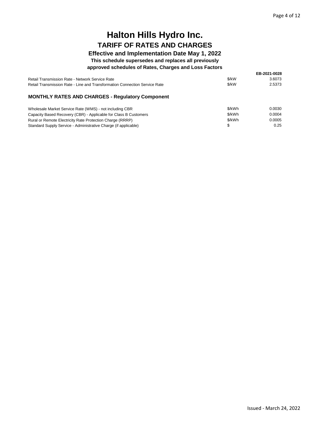### **Effective and Implementation Date May 1, 2022**

#### **This schedule supersedes and replaces all previously**

#### **approved schedules of Rates, Charges and Loss Factors**

|                                                                            |       | EB-2021-0028 |
|----------------------------------------------------------------------------|-------|--------------|
| Retail Transmission Rate - Network Service Rate                            | \$/kW | 3.6073       |
| Retail Transmission Rate - Line and Transformation Connection Service Rate | \$/kW | 2.5373       |

| Wholesale Market Service Rate (WMS) - not including CBR          | \$/kWh | 0.0030 |
|------------------------------------------------------------------|--------|--------|
| Capacity Based Recovery (CBR) - Applicable for Class B Customers | \$/kWh | 0.0004 |
| Rural or Remote Electricity Rate Protection Charge (RRRP)        | \$/kWh | 0.0005 |
| Standard Supply Service - Administrative Charge (if applicable)  |        | 0.25   |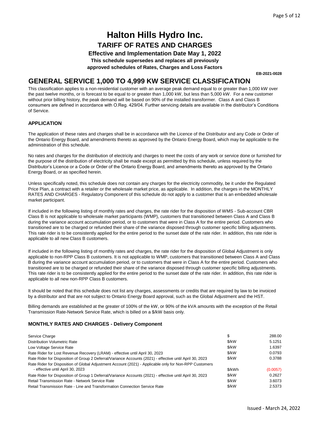**Effective and Implementation Date May 1, 2022**

**This schedule supersedes and replaces all previously**

**approved schedules of Rates, Charges and Loss Factors**

**EB-2021-0028**

### **GENERAL SERVICE 1,000 TO 4,999 KW SERVICE CLASSIFICATION**

This classification applies to a non-residential customer with an average peak demand equal to or greater than 1,000 kW over the past twelve months, or is forecast to be equal to or greater than 1,000 kW, but less than 5,000 kW. For a new customer without prior billing history, the peak demand will be based on 90% of the installed transformer. Class A and Class B consumers are defined in accordance with O.Reg. 429/04. Further servicing details are available in the distributor's Conditions of Service.

#### **APPLICATION**

The application of these rates and charges shall be in accordance with the Licence of the Distributor and any Code or Order of the Ontario Energy Board, and amendments thereto as approved by the Ontario Energy Board, which may be applicable to the administration of this schedule.

No rates and charges for the distribution of electricity and charges to meet the costs of any work or service done or furnished for the purpose of the distribution of electricity shall be made except as permitted by this schedule, unless required by the Distributor's Licence or a Code or Order of the Ontario Energy Board, and amendments thereto as approved by the Ontario Energy Board, or as specified herein.

Unless specifically noted, this schedule does not contain any charges for the electricity commodity, be it under the Regulated Price Plan, a contract with a retailer or the wholesale market price, as applicable. In addition, the charges in the MONTHLY RATES AND CHARGES - Regulatory Component of this schedule do not apply to a customer that is an embedded wholesale market participant.

If included in the following listing of monthly rates and charges, the rate rider for the disposition of WMS - Sub-account CBR Class B is not applicable to wholesale market participants (WMP), customers that transitioned between Class A and Class B during the variance account accumulation period, or to customers that were in Class A for the entire period. Customers who transitioned are to be charged or refunded their share of the variance disposed through customer specific billing adjustments. This rate rider is to be consistently applied for the entire period to the sunset date of the rate rider. In addition, this rate rider is applicable to all new Class B customers.

If included in the following listing of monthly rates and charges, the rate rider for the disposition of Global Adjustment is only applicable to non-RPP Class B customers. It is not applicable to WMP, customers that transitioned between Class A and Class B during the variance account accumulation period, or to customers that were in Class A for the entire period. Customers who transitioned are to be charged or refunded their share of the variance disposed through customer specific billing adjustments. This rate rider is to be consistently applied for the entire period to the sunset date of the rate rider. In addition, this rate rider is applicable to all new non-RPP Class B customers.

It should be noted that this schedule does not list any charges, assessments or credits that are required by law to be invoiced by a distributor and that are not subject to Ontario Energy Board approval, such as the Global Adjustment and the HST.

Billing demands are established at the greater of 100% of the kW, or 90% of the kVA amounts with the exception of the Retail Transmission Rate-Network Service Rate, which is billed on a \$/kW basis only.

#### **MONTHLY RATES AND CHARGES - Delivery Component**

| Service Charge                                                                                           | \$     | 288.00   |
|----------------------------------------------------------------------------------------------------------|--------|----------|
| <b>Distribution Volumetric Rate</b>                                                                      | \$/kW  | 5.1251   |
| Low Voltage Service Rate                                                                                 | \$/kW  | 1.6397   |
| Rate Rider for Lost Revenue Recovery (LRAM) - effective until April 30, 2023                             | \$/kW  | 0.0793   |
| Rate Rider for Disposition of Group 2 Deferral/Variance Accounts (2021) - effective until April 30, 2023 | \$/kW  | 0.3788   |
| Rate Rider for Disposition of Global Adjustment Account (2021) - Applicable only for Non-RPP Customers   |        |          |
| - effective until April 30, 2023                                                                         | \$/kWh | (0.0057) |
| Rate Rider for Disposition of Group 1 Deferral/Variance Accounts (2021) - effective until April 30, 2023 | \$/kW  | 0.2627   |
| Retail Transmission Rate - Network Service Rate                                                          | \$/kW  | 3.6073   |
| Retail Transmission Rate - Line and Transformation Connection Service Rate                               | \$/kW  | 2.5373   |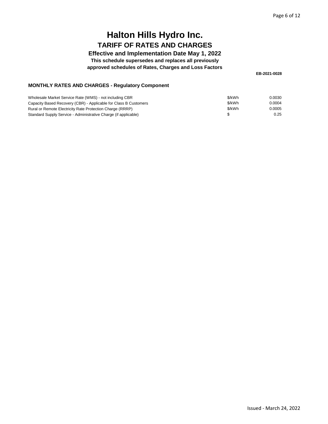### **Effective and Implementation Date May 1, 2022**

**This schedule supersedes and replaces all previously**

**approved schedules of Rates, Charges and Loss Factors**

**EB-2021-0028**

| Wholesale Market Service Rate (WMS) - not including CBR          | \$/kWh | 0.0030 |
|------------------------------------------------------------------|--------|--------|
| Capacity Based Recovery (CBR) - Applicable for Class B Customers | \$/kWh | 0.0004 |
| Rural or Remote Electricity Rate Protection Charge (RRRP)        | \$/kWh | 0.0005 |
| Standard Supply Service - Administrative Charge (if applicable)  |        | 0.25   |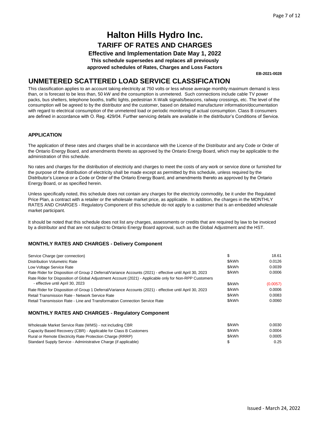**Effective and Implementation Date May 1, 2022**

**This schedule supersedes and replaces all previously**

**approved schedules of Rates, Charges and Loss Factors**

**EB-2021-0028**

### **UNMETERED SCATTERED LOAD SERVICE CLASSIFICATION**

This classification applies to an account taking electricity at 750 volts or less whose average monthly maximum demand is less than, or is forecast to be less than, 50 kW and the consumption is unmetered. Such connections include cable TV power packs, bus shelters, telephone booths, traffic lights, pedestrian X-Walk signals/beacons, railway crossings, etc. The level of the consumption will be agreed to by the distributor and the customer, based on detailed manufacturer information/documentation with regard to electrical consumption of the unmetered load or periodic monitoring of actual consumption. Class B consumers are defined in accordance with O. Reg. 429/04. Further servicing details are available in the distributor's Conditions of Service.

#### **APPLICATION**

The application of these rates and charges shall be in accordance with the Licence of the Distributor and any Code or Order of the Ontario Energy Board, and amendments thereto as approved by the Ontario Energy Board, which may be applicable to the administration of this schedule.

No rates and charges for the distribution of electricity and charges to meet the costs of any work or service done or furnished for the purpose of the distribution of electricity shall be made except as permitted by this schedule, unless required by the Distributor's Licence or a Code or Order of the Ontario Energy Board, and amendments thereto as approved by the Ontario Energy Board, or as specified herein.

Unless specifically noted, this schedule does not contain any charges for the electricity commodity, be it under the Regulated Price Plan, a contract with a retailer or the wholesale market price, as applicable. In addition, the charges in the MONTHLY RATES AND CHARGES - Regulatory Component of this schedule do not apply to a customer that is an embedded wholesale market participant.

It should be noted that this schedule does not list any charges, assessments or credits that are required by law to be invoiced by a distributor and that are not subject to Ontario Energy Board approval, such as the Global Adjustment and the HST.

#### **MONTHLY RATES AND CHARGES - Delivery Component**

| Service Charge (per connection)                                                                          | \$     | 18.61    |
|----------------------------------------------------------------------------------------------------------|--------|----------|
| <b>Distribution Volumetric Rate</b>                                                                      | \$/kWh | 0.0126   |
| Low Voltage Service Rate                                                                                 | \$/kWh | 0.0039   |
| Rate Rider for Disposition of Group 2 Deferral/Variance Accounts (2021) - effective until April 30, 2023 | \$/kWh | 0.0006   |
| Rate Rider for Disposition of Global Adjustment Account (2021) - Applicable only for Non-RPP Customers   |        |          |
| - effective until April 30, 2023                                                                         | \$/kWh | (0.0057) |
| Rate Rider for Disposition of Group 1 Deferral/Variance Accounts (2021) - effective until April 30, 2023 | \$/kWh | 0.0006   |
| Retail Transmission Rate - Network Service Rate                                                          | \$/kWh | 0.0083   |
| Retail Transmission Rate - Line and Transformation Connection Service Rate                               | \$/kWh | 0.0060   |
|                                                                                                          |        |          |

| Wholesale Market Service Rate (WMS) - not including CBR          | \$/kWh | 0.0030 |
|------------------------------------------------------------------|--------|--------|
| Capacity Based Recovery (CBR) - Applicable for Class B Customers | \$/kWh | 0.0004 |
| Rural or Remote Electricity Rate Protection Charge (RRRP)        | \$/kWh | 0.0005 |
| Standard Supply Service - Administrative Charge (if applicable)  |        | 0.25   |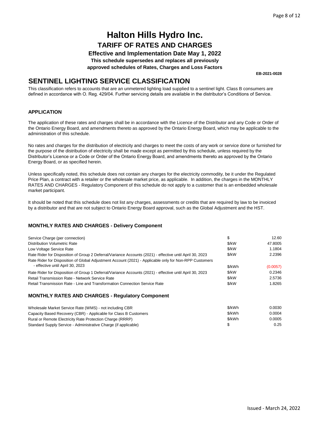#### **Effective and Implementation Date May 1, 2022**

**This schedule supersedes and replaces all previously**

**approved schedules of Rates, Charges and Loss Factors**

**EB-2021-0028**

### **SENTINEL LIGHTING SERVICE CLASSIFICATION**

This classification refers to accounts that are an unmetered lighting load supplied to a sentinel light. Class B consumers are defined in accordance with O. Reg. 429/04. Further servicing details are available in the distributor's Conditions of Service.

#### **APPLICATION**

The application of these rates and charges shall be in accordance with the Licence of the Distributor and any Code or Order of the Ontario Energy Board, and amendments thereto as approved by the Ontario Energy Board, which may be applicable to the administration of this schedule.

No rates and charges for the distribution of electricity and charges to meet the costs of any work or service done or furnished for the purpose of the distribution of electricity shall be made except as permitted by this schedule, unless required by the Distributor's Licence or a Code or Order of the Ontario Energy Board, and amendments thereto as approved by the Ontario Energy Board, or as specified herein.

Unless specifically noted, this schedule does not contain any charges for the electricity commodity, be it under the Regulated Price Plan, a contract with a retailer or the wholesale market price, as applicable. In addition, the charges in the MONTHLY RATES AND CHARGES - Regulatory Component of this schedule do not apply to a customer that is an embedded wholesale market participant.

It should be noted that this schedule does not list any charges, assessments or credits that are required by law to be invoiced by a distributor and that are not subject to Ontario Energy Board approval, such as the Global Adjustment and the HST.

#### **MONTHLY RATES AND CHARGES - Delivery Component**

| Service Charge (per connection)                                                                          | \$     | 12.60    |
|----------------------------------------------------------------------------------------------------------|--------|----------|
| <b>Distribution Volumetric Rate</b>                                                                      | \$/kW  | 47.8005  |
| Low Voltage Service Rate                                                                                 | \$/kW  | 1.1804   |
| Rate Rider for Disposition of Group 2 Deferral/Variance Accounts (2021) - effective until April 30, 2023 | \$/kW  | 2.2396   |
| Rate Rider for Disposition of Global Adjustment Account (2021) - Applicable only for Non-RPP Customers   |        |          |
| - effective until April 30, 2023                                                                         | \$/kWh | (0.0057) |
| Rate Rider for Disposition of Group 1 Deferral/Variance Accounts (2021) - effective until April 30, 2023 | \$/kW  | 0.2346   |
| Retail Transmission Rate - Network Service Rate                                                          | \$/kW  | 2.5736   |
| Retail Transmission Rate - Line and Transformation Connection Service Rate                               | \$/kW  | 1.8265   |

| Wholesale Market Service Rate (WMS) - not including CBR          | \$/kWh | 0.0030 |
|------------------------------------------------------------------|--------|--------|
| Capacity Based Recovery (CBR) - Applicable for Class B Customers | \$/kWh | 0.0004 |
| Rural or Remote Electricity Rate Protection Charge (RRRP)        | \$/kWh | 0.0005 |
| Standard Supply Service - Administrative Charge (if applicable)  |        | 0.25   |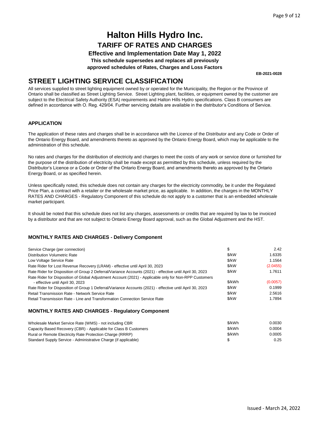**Effective and Implementation Date May 1, 2022**

**This schedule supersedes and replaces all previously**

**approved schedules of Rates, Charges and Loss Factors**

**EB-2021-0028**

### **STREET LIGHTING SERVICE CLASSIFICATION**

All services supplied to street lighting equipment owned by or operated for the Municipality, the Region or the Province of Ontario shall be classified as Street Lighting Service. Street Lighting plant, facilities, or equipment owned by the customer are subject to the Electrical Safety Authority (ESA) requirements and Halton Hills Hydro specifications. Class B consumers are defined in accordance with O. Reg. 429/04. Further servicing details are available in the distributor's Conditions of Service.

#### **APPLICATION**

The application of these rates and charges shall be in accordance with the Licence of the Distributor and any Code or Order of the Ontario Energy Board, and amendments thereto as approved by the Ontario Energy Board, which may be applicable to the administration of this schedule.

No rates and charges for the distribution of electricity and charges to meet the costs of any work or service done or furnished for the purpose of the distribution of electricity shall be made except as permitted by this schedule, unless required by the Distributor's Licence or a Code or Order of the Ontario Energy Board, and amendments thereto as approved by the Ontario Energy Board, or as specified herein.

Unless specifically noted, this schedule does not contain any charges for the electricity commodity, be it under the Regulated Price Plan, a contract with a retailer or the wholesale market price, as applicable. In addition, the charges in the MONTHLY RATES AND CHARGES - Regulatory Component of this schedule do not apply to a customer that is an embedded wholesale market participant.

It should be noted that this schedule does not list any charges, assessments or credits that are required by law to be invoiced by a distributor and that are not subject to Ontario Energy Board approval, such as the Global Adjustment and the HST.

#### **MONTHLY RATES AND CHARGES - Delivery Component**

| Service Charge (per connection)                                                                          | \$     | 2.42     |
|----------------------------------------------------------------------------------------------------------|--------|----------|
| <b>Distribution Volumetric Rate</b>                                                                      | \$/kW  | 1.6335   |
| Low Voltage Service Rate                                                                                 | \$/kW  | 1.1564   |
| Rate Rider for Lost Revenue Recovery (LRAM) - effective until April 30, 2023                             | \$/kW  | (2.0455) |
| Rate Rider for Disposition of Group 2 Deferral/Variance Accounts (2021) - effective until April 30, 2023 | \$/kW  | 1.7611   |
| Rate Rider for Disposition of Global Adjustment Account (2021) - Applicable only for Non-RPP Customers   |        |          |
| - effective until April 30, 2023                                                                         | \$/kWh | (0.0057) |
| Rate Rider for Disposition of Group 1 Deferral/Variance Accounts (2021) - effective until April 30, 2023 | \$/kW  | 0.1999   |
| Retail Transmission Rate - Network Service Rate                                                          | \$/kW  | 2.5616   |
| Retail Transmission Rate - Line and Transformation Connection Service Rate                               | \$/kW  | 1.7894   |

| Wholesale Market Service Rate (WMS) - not including CBR          | \$/kWh | 0.0030 |
|------------------------------------------------------------------|--------|--------|
| Capacity Based Recovery (CBR) - Applicable for Class B Customers | \$/kWh | 0.0004 |
| Rural or Remote Electricity Rate Protection Charge (RRRP)        | \$/kWh | 0.0005 |
| Standard Supply Service - Administrative Charge (if applicable)  |        | 0.25   |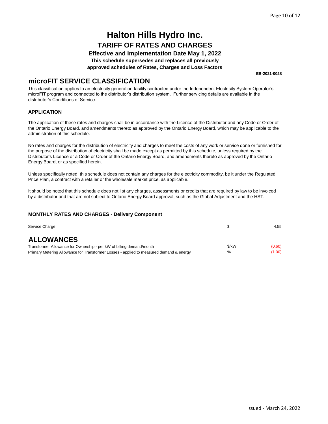### **Effective and Implementation Date May 1, 2022**

**This schedule supersedes and replaces all previously**

**approved schedules of Rates, Charges and Loss Factors**

**EB-2021-0028**

### **microFIT SERVICE CLASSIFICATION**

This classification applies to an electricity generation facility contracted under the Independent Electricity System Operator's microFIT program and connected to the distributor's distribution system. Further servicing details are available in the distributor's Conditions of Service.

#### **APPLICATION**

The application of these rates and charges shall be in accordance with the Licence of the Distributor and any Code or Order of the Ontario Energy Board, and amendments thereto as approved by the Ontario Energy Board, which may be applicable to the administration of this schedule.

No rates and charges for the distribution of electricity and charges to meet the costs of any work or service done or furnished for the purpose of the distribution of electricity shall be made except as permitted by this schedule, unless required by the Distributor's Licence or a Code or Order of the Ontario Energy Board, and amendments thereto as approved by the Ontario Energy Board, or as specified herein.

Unless specifically noted, this schedule does not contain any charges for the electricity commodity, be it under the Regulated Price Plan, a contract with a retailer or the wholesale market price, as applicable.

It should be noted that this schedule does not list any charges, assessments or credits that are required by law to be invoiced by a distributor and that are not subject to Ontario Energy Board approval, such as the Global Adjustment and the HST.

#### **MONTHLY RATES AND CHARGES - Delivery Component**

| Service Charge                                                                          |       | 4.55   |
|-----------------------------------------------------------------------------------------|-------|--------|
| <b>ALLOWANCES</b>                                                                       |       |        |
| Transformer Allowance for Ownership - per kW of billing demand/month                    | \$/kW | (0.60) |
| Primary Metering Allowance for Transformer Losses - applied to measured demand & energy | $\%$  | (1.00) |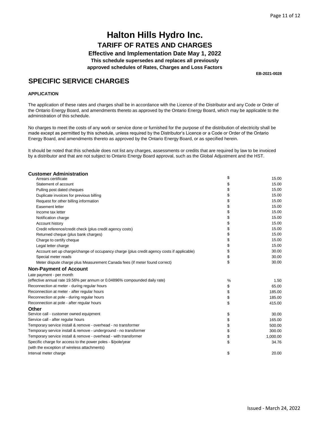**Effective and Implementation Date May 1, 2022**

**This schedule supersedes and replaces all previously**

**approved schedules of Rates, Charges and Loss Factors**

**EB-2021-0028**

### **SPECIFIC SERVICE CHARGES**

#### **APPLICATION**

The application of these rates and charges shall be in accordance with the Licence of the Distributor and any Code or Order of the Ontario Energy Board, and amendments thereto as approved by the Ontario Energy Board, which may be applicable to the administration of this schedule.

No charges to meet the costs of any work or service done or furnished for the purpose of the distribution of electricity shall be made except as permitted by this schedule, unless required by the Distributor's Licence or a Code or Order of the Ontario Energy Board, and amendments thereto as approved by the Ontario Energy Board, or as specified herein.

It should be noted that this schedule does not list any charges, assessments or credits that are required by law to be invoiced by a distributor and that are not subject to Ontario Energy Board approval, such as the Global Adjustment and the HST.

| <b>Customer Administration</b>                                                            |    |          |
|-------------------------------------------------------------------------------------------|----|----------|
| Arrears certificate                                                                       | \$ | 15.00    |
| Statement of account                                                                      | \$ | 15.00    |
| Pulling post dated cheques                                                                | \$ | 15.00    |
| Duplicate invoices for previous billing                                                   | \$ | 15.00    |
| Request for other billing information                                                     | \$ | 15.00    |
| Easement letter                                                                           | \$ | 15.00    |
| Income tax letter                                                                         | \$ | 15.00    |
| Notification charge                                                                       | \$ | 15.00    |
| Account history                                                                           | \$ | 15.00    |
| Credit reference/credit check (plus credit agency costs)                                  | \$ | 15.00    |
| Returned cheque (plus bank charges)                                                       | \$ | 15.00    |
| Charge to certify cheque                                                                  | \$ | 15.00    |
| Legal letter charge                                                                       | \$ | 15.00    |
| Account set up charge/change of occupancy charge (plus credit agency costs if applicable) | \$ | 30.00    |
| Special meter reads                                                                       | \$ | 30.00    |
| Meter dispute charge plus Measurement Canada fees (if meter found correct)                | \$ | 30.00    |
| <b>Non-Payment of Account</b>                                                             |    |          |
| Late payment - per month                                                                  |    |          |
| (effective annual rate 19.56% per annum or 0.04896% compounded daily rate)                | %  | 1.50     |
| Reconnection at meter - during regular hours                                              | \$ | 65.00    |
| Reconnection at meter - after regular hours                                               | \$ | 185.00   |
| Reconnection at pole - during regular hours                                               | \$ | 185.00   |
| Reconnection at pole - after regular hours                                                | \$ | 415.00   |
| Other                                                                                     |    |          |
| Service call - customer owned equipment                                                   | \$ | 30.00    |
| Service call - after regular hours                                                        | \$ | 165.00   |
| Temporary service install & remove - overhead - no transformer                            | \$ | 500.00   |
| Temporary service install & remove - underground - no transformer                         | \$ | 300.00   |
| Temporary service install & remove - overhead - with transformer                          | \$ | 1,000.00 |
| Specific charge for access to the power poles - \$/pole/year                              | \$ | 34.76    |
| (with the exception of wireless attachments)                                              |    |          |
| Interval meter charge                                                                     | \$ | 20.00    |
|                                                                                           |    |          |